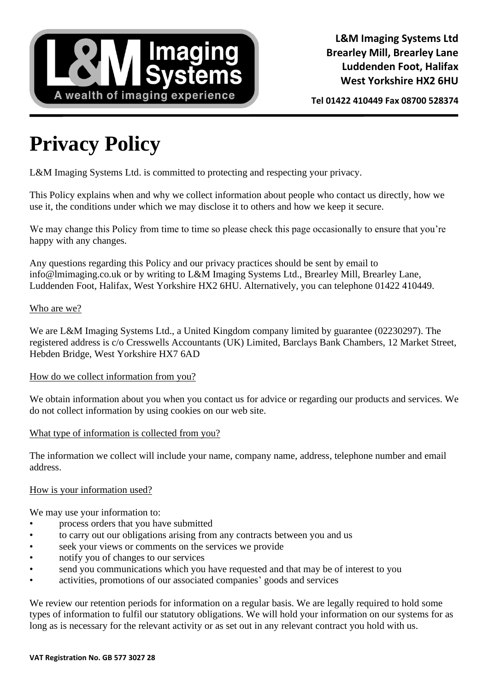

**Tel 01422 410449 Fax 08700 528374**

# **Privacy Policy**

L&M Imaging Systems Ltd. is committed to protecting and respecting your privacy.

This Policy explains when and why we collect information about people who contact us directly, how we use it, the conditions under which we may disclose it to others and how we keep it secure.

We may change this Policy from time to time so please check this page occasionally to ensure that you're happy with any changes.

Any questions regarding this Policy and our privacy practices should be sent by email to info@lmimaging.co.uk or by writing to L&M Imaging Systems Ltd., Brearley Mill, Brearley Lane, Luddenden Foot, Halifax, West Yorkshire HX2 6HU. Alternatively, you can telephone 01422 410449.

# Who are we?

We are L&M Imaging Systems Ltd., a United Kingdom company limited by guarantee (02230297). The registered address is c/o Cresswells Accountants (UK) Limited, Barclays Bank Chambers, 12 Market Street, Hebden Bridge, West Yorkshire HX7 6AD

# How do we collect information from you?

We obtain information about you when you contact us for advice or regarding our products and services. We do not collect information by using cookies on our web site.

# What type of information is collected from you?

The information we collect will include your name, company name, address, telephone number and email address.

#### How is your information used?

We may use your information to:

- process orders that you have submitted
- to carry out our obligations arising from any contracts between you and us
- seek your views or comments on the services we provide
- notify you of changes to our services
- send you communications which you have requested and that may be of interest to you
- activities, promotions of our associated companies' goods and services

We review our retention periods for information on a regular basis. We are legally required to hold some types of information to fulfil our statutory obligations. We will hold your information on our systems for as long as is necessary for the relevant activity or as set out in any relevant contract you hold with us.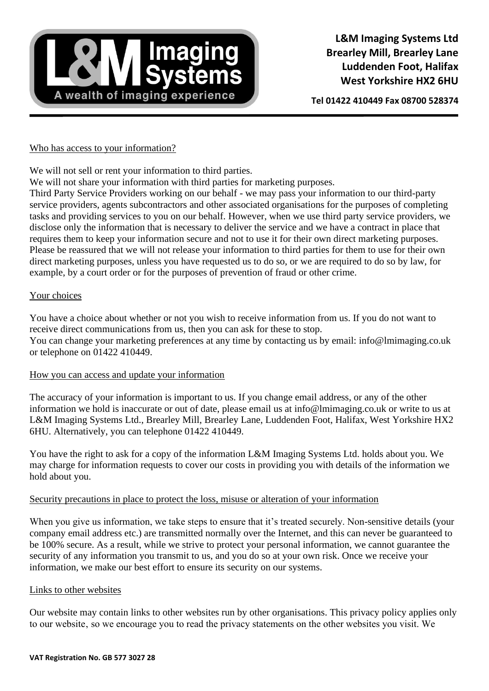

**Tel 01422 410449 Fax 08700 528374**

#### Who has access to your information?

We will not sell or rent your information to third parties.

We will not share your information with third parties for marketing purposes.

Third Party Service Providers working on our behalf - we may pass your information to our third-party service providers, agents subcontractors and other associated organisations for the purposes of completing tasks and providing services to you on our behalf. However, when we use third party service providers, we disclose only the information that is necessary to deliver the service and we have a contract in place that requires them to keep your information secure and not to use it for their own direct marketing purposes. Please be reassured that we will not release your information to third parties for them to use for their own direct marketing purposes, unless you have requested us to do so, or we are required to do so by law, for example, by a court order or for the purposes of prevention of fraud or other crime.

# Your choices

You have a choice about whether or not you wish to receive information from us. If you do not want to receive direct communications from us, then you can ask for these to stop. You can change your marketing preferences at any time by contacting us by email: info@lmimaging.co.uk or telephone on 01422 410449.

# How you can access and update your information

The accuracy of your information is important to us. If you change email address, or any of the other information we hold is inaccurate or out of date, please email us at info@lmimaging.co.uk or write to us at L&M Imaging Systems Ltd., Brearley Mill, Brearley Lane, Luddenden Foot, Halifax, West Yorkshire HX2 6HU. Alternatively, you can telephone 01422 410449.

You have the right to ask for a copy of the information L&M Imaging Systems Ltd. holds about you. We may charge for information requests to cover our costs in providing you with details of the information we hold about you.

# Security precautions in place to protect the loss, misuse or alteration of your information

When you give us information, we take steps to ensure that it's treated securely. Non-sensitive details (your company email address etc.) are transmitted normally over the Internet, and this can never be guaranteed to be 100% secure. As a result, while we strive to protect your personal information, we cannot guarantee the security of any information you transmit to us, and you do so at your own risk. Once we receive your information, we make our best effort to ensure its security on our systems.

# Links to other websites

Our website may contain links to other websites run by other organisations. This privacy policy applies only to our website, so we encourage you to read the privacy statements on the other websites you visit. We